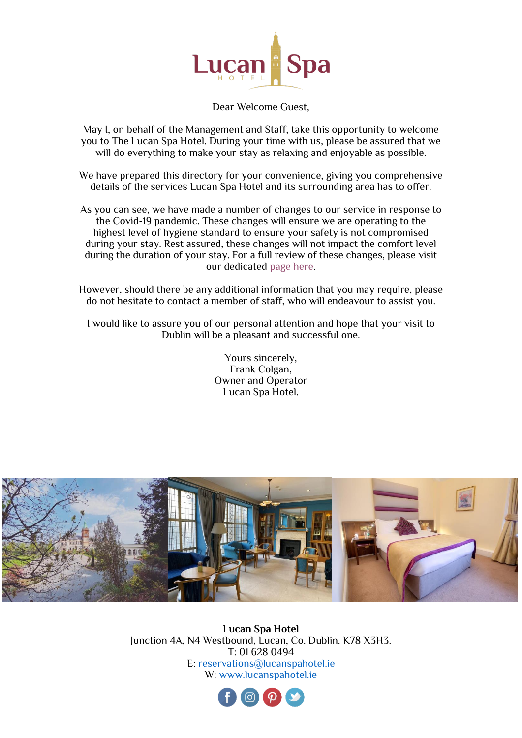

Dear Welcome Guest,

May I, on behalf of the Management and Staff, take this opportunity to welcome you to The Lucan Spa Hotel. During your time with us, please be assured that we will do everything to make your stay as relaxing and enjoyable as possible.

We have prepared this directory for your convenience, giving you comprehensive details of the services Lucan Spa Hotel and its surrounding area has to offer.

As you can see, we have made a number of changes to our service in response to the Covid-19 pandemic. These changes will ensure we are operating to the highest level of hygiene standard to ensure your safety is not compromised during your stay. Rest assured, these changes will not impact the comfort level during the duration of your stay. For a full review of these changes, please visit our dedicated [page here.](https://www.lucanspahotel.ie/covid-19-update.html)

However, should there be any additional information that you may require, please do not hesitate to contact a member of staff, who will endeavour to assist you.

I would like to assure you of our personal attention and hope that your visit to Dublin will be a pleasant and successful one.

> Yours sincerely, Frank Colgan, Owner and Operator Lucan Spa Hotel.



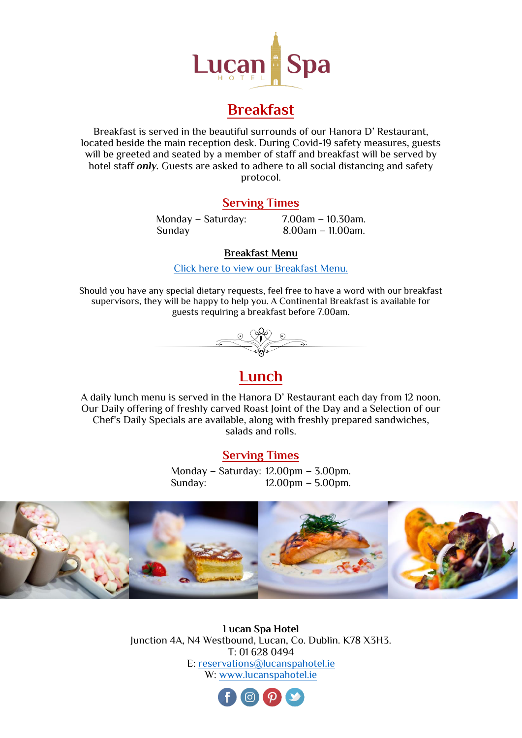

# **Breakfast**

Breakfast is served in the beautiful surrounds of our Hanora D' Restaurant, located beside the main reception desk. During Covid-19 safety measures, guests will be greeted and seated by a member of staff and breakfast will be served by hotel staff *only.* Guests are asked to adhere to all social distancing and safety protocol.

## **Serving Times**

Sunday 8.00am – 11.00am.

Monday – Saturday: 7.00am – 10.30am.

### **Breakfast Menu**

[Click here to view our Breakfast Menu.](https://lucanspacms01.cms.netaffinity.io/cmsFiles/lucan_spa_hotel_breakfast_menu.pdf)

Should you have any special dietary requests, feel free to have a word with our breakfast supervisors, they will be happy to help you. A Continental Breakfast is available for guests requiring a breakfast before 7.00am.



## **Lunch**

A daily lunch menu is served in the Hanora D' Restaurant each day from 12 noon. Our Daily offering of freshly carved Roast Joint of the Day and a Selection of our Chef's Daily Specials are available, along with freshly prepared sandwiches, salads and rolls.

## **Serving Times**

Monday – Saturday: 12.00pm – 3.00pm. Sunday: 12.00pm – 5.00pm.



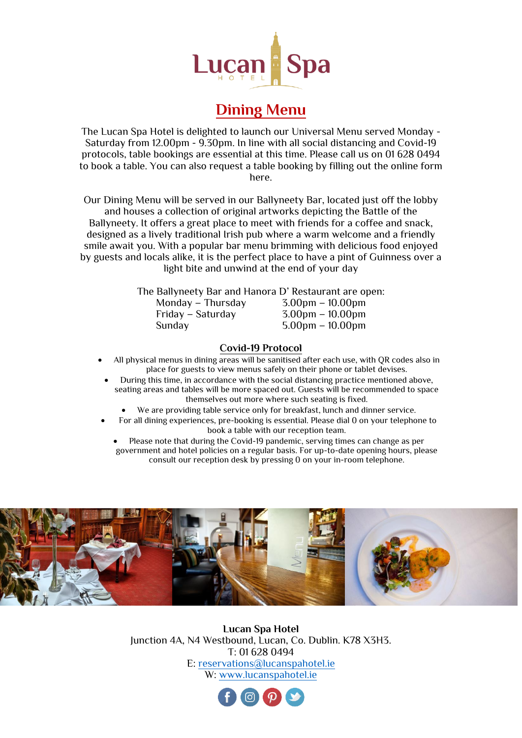

# **Dining Menu**

The Lucan Spa Hotel is delighted to launch our Universal Menu served Monday - Saturday from 12.00pm - 9.30pm. In line with all social distancing and Covid-19 protocols, table bookings are essential at this time. Please call us on 01 628 0494 to book a table. You can also request a table booking by filling out the online form here.

Our Dining Menu will be served in our Ballyneety Bar, located just off the lobby and houses a collection of original artworks depicting the Battle of the Ballyneety. It offers a great place to meet with friends for a coffee and snack, designed as a lively traditional Irish pub where a warm welcome and a friendly smile await you. With a popular bar menu brimming with delicious food enjoyed by guests and locals alike, it is the perfect place to have a pint of Guinness over a light bite and unwind at the end of your day

| The Ballyneety Bar and Hanora D' Restaurant are open: |                                    |  |
|-------------------------------------------------------|------------------------------------|--|
| Monday - Thursday                                     | $3.00pm - 10.00pm$                 |  |
| Friday - Saturday                                     | $3.00 \text{pm} - 10.00 \text{pm}$ |  |
| Sunday                                                | $5.00 \text{pm} - 10.00 \text{pm}$ |  |
|                                                       |                                    |  |

#### **Covid-19 Protocol**

- All physical menus in dining areas will be sanitised after each use, with QR codes also in place for guests to view menus safely on their phone or tablet devises.
- During this time, in accordance with the social distancing practice mentioned above, seating areas and tables will be more spaced out. Guests will be recommended to space themselves out more where such seating is fixed.
	- We are providing table service only for breakfast, lunch and dinner service.
- For all dining experiences, pre-booking is essential. Please dial 0 on your telephone to book a table with our reception team.
	- Please note that during the Covid-19 pandemic, serving times can change as per government and hotel policies on a regular basis. For up-to-date opening hours, please consult our reception desk by pressing 0 on your in-room telephone.



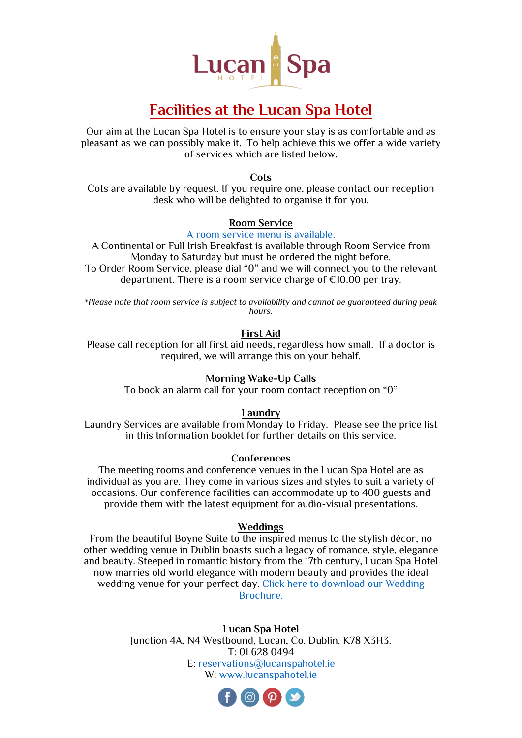

# **Facilities at the Lucan Spa Hotel**

Our aim at the Lucan Spa Hotel is to ensure your stay is as comfortable and as pleasant as we can possibly make it. To help achieve this we offer a wide variety of services which are listed below.

**Cots**

Cots are available by request. If you require one, please contact our reception desk who will be delighted to organise it for you.

### **Room Service**

#### [A room service menu is available.](https://www.lucanspahotel.ie/cmsFiles/ballyneety_bar_food_menu_2021-min.pdf)

A Continental or Full Irish Breakfast is available through Room Service from Monday to Saturday but must be ordered the night before. To Order Room Service, please dial "0" and we will connect you to the relevant department. There is a room service charge of €10.00 per tray.

*\*Please note that room service is subject to availability and cannot be guaranteed during peak hours.* 

#### **First Aid**

Please call reception for all first aid needs, regardless how small. If a doctor is required, we will arrange this on your behalf.

#### **Morning Wake-Up Calls**

To book an alarm call for your room contact reception on "0"

#### **Laundry**

Laundry Services are available from Monday to Friday. Please see the price list in this Information booklet for further details on this service.

#### **Conferences**

The meeting rooms and conference venues in the Lucan Spa Hotel are as individual as you are. They come in various sizes and styles to suit a variety of occasions. Our conference facilities can accommodate up to 400 guests and provide them with the latest equipment for audio-visual presentations.

#### **Weddings**

From the beautiful Boyne Suite to the inspired menus to the stylish décor, no other wedding venue in Dublin boasts such a legacy of romance, style, elegance and beauty. Steeped in romantic history from the 17th century, Lucan Spa Hotel now marries old world elegance with modern beauty and provides the ideal wedding venue for your perfect day. Click [here to download our Wedding](https://www.lucanspahotel.ie/cmsFiles/lucan_spa_hotel_wedding_brochure.pdf)  [Brochure.](https://www.lucanspahotel.ie/cmsFiles/lucan_spa_hotel_wedding_brochure.pdf)

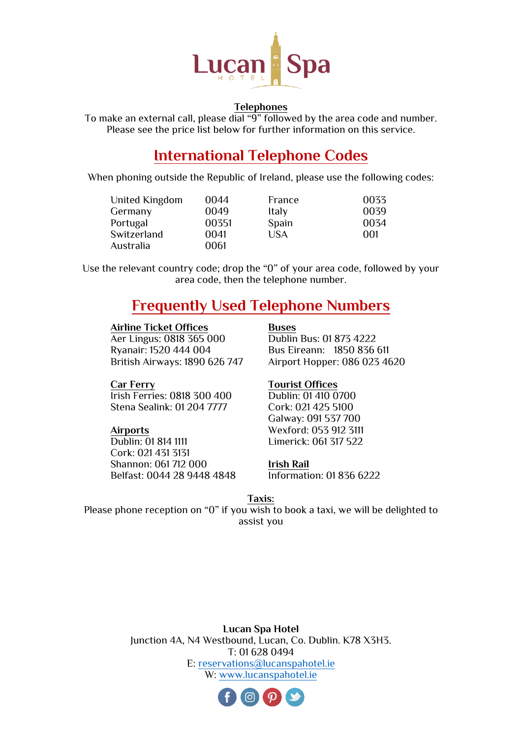

#### **Telephones**

To make an external call, please dial "9" followed by the area code and number. Please see the price list below for further information on this service.

## **International Telephone Codes**

When phoning outside the Republic of Ireland, please use the following codes:

| United Kingdom | 0044  | France | 0033 |
|----------------|-------|--------|------|
| Germany        | 0049  | ltaly  | 0039 |
| Portugal       | 00351 | Spain  | 0034 |
| Switzerland    | 0041  | USA    | 001  |
| Australia      | 0061  |        |      |

Use the relevant country code; drop the "0" of your area code, followed by your area code, then the telephone number.

## **Frequently Used Telephone Numbers**

#### **Airline Ticket Offices Buses**

Aer Lingus: 0818 365 000 Dublin Bus: 01 873 4222<br>
Ryanair: 1520 444 004 Bus Eireann: 1850 836

Bus Eireann: 1850 836 611 British Airways: 1890 626 747 Airport Hopper: 086 023 4620

Irish Ferries: 0818 300 400 Dublin: 01 410 0700 Stena Sealink: 01 204 7777 Cork: 021 425 5100

Dublin: 01 814 1111 Limerick: 061 317 522 Cork: 021 431 3131 Shannon: 061 712 000 **Irish Rail** Belfast: 0044 28 9448 4848 Information: 01 836 6222

## **Car Ferry Tourist Offices**

Galway: 091 537 700 **Airports** Wexford: 053 912 3111

#### **Taxis:**

Please phone reception on "0" if you wish to book a taxi, we will be delighted to assist you

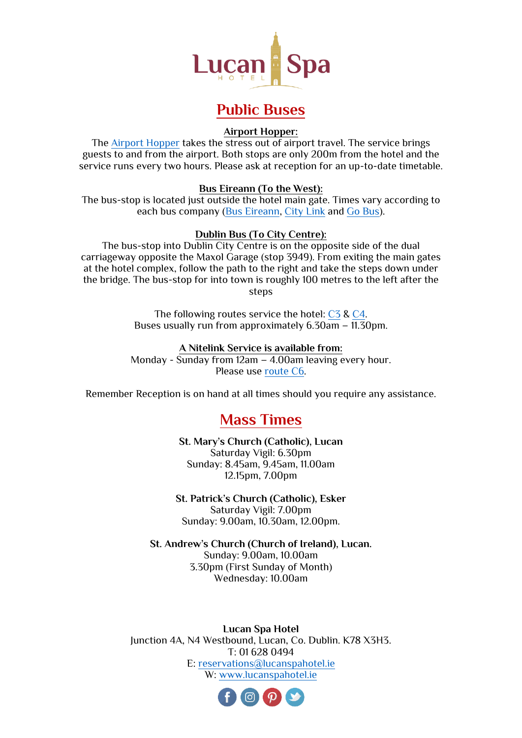

# **Public Buses**

#### **Airport Hopper:**

The [Airport Hopper](https://airporthopper.ie/) takes the stress out of airport travel. The service brings guests to and from the airport. Both stops are only 200m from the hotel and the service runs every two hours. Please ask at reception for an up-to-date timetable.

### **Bus Eireann (To the West):**

The bus-stop is located just outside the hotel main gate. Times vary according to each bus company [\(Bus Eireann,](https://www.buseireann.ie/inner.php?id=406) [City Link](https://www.citylink.ie/) and Go [Bus\)](https://gobus.ie/).

#### **Dublin Bus (To City Centre):**

The bus-stop into Dublin City Centre is on the opposite side of the dual carriageway opposite the Maxol Garage (stop 3949). From exiting the main gates at the hotel complex, follow the path to the right and take the steps down under the bridge. The bus-stop for into town is roughly 100 metres to the left after the steps

> The following routes service the hotel: [C3](http://www.dublinbus.ie/Global/FaresAndTickets/C3%20Timetable.pdf) & [C4.](http://www.dublinbus.ie/Global/FaresAndTickets/C4%20Timetable.pdf) Buses usually run from approximately 6.30am – 11.30pm.

#### **A Nitelink Service is available from:**

Monday - Sunday from 12am – 4.00am leaving every hour. Please use [route C6.](http://www.dublinbus.ie/Global/FaresAndTickets/C6%20Timetable.pdf)

Remember Reception is on hand at all times should you require any assistance.

## **Mass Times**

**St. Mary's Church (Catholic), Lucan** Saturday Vigil: 6.30pm Sunday: 8.45am, 9.45am, 11.00am 12.15pm, 7.00pm

**St. Patrick's Church (Catholic), Esker** Saturday Vigil: 7.00pm Sunday: 9.00am, 10.30am, 12.00pm.

**St. Andrew's Church (Church of Ireland), Lucan.** Sunday: 9.00am, 10.00am 3.30pm (First Sunday of Month) Wednesday: 10.00am

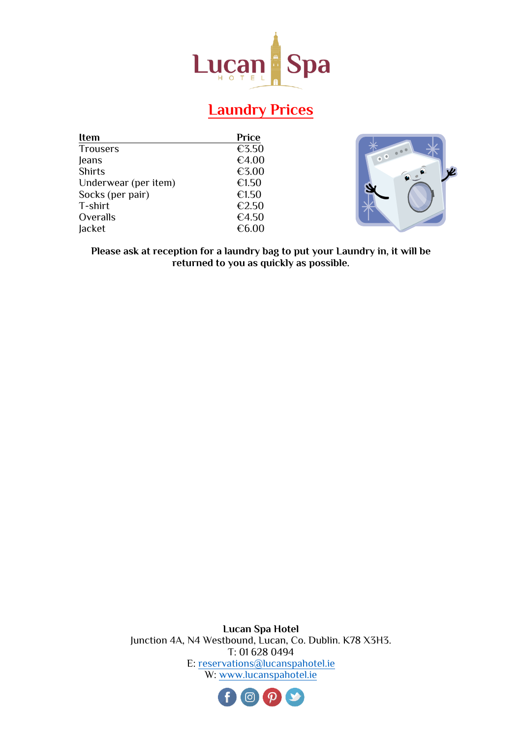

# **Laundry Prices**

| <b>Item</b>          | Price |
|----------------------|-------|
| <b>Trousers</b>      | €3.50 |
| Jeans                | €4.00 |
| <b>Shirts</b>        | €3.00 |
| Underwear (per item) | €1.50 |
| Socks (per pair)     | €1.50 |
| T-shirt              | €2.50 |
| Overalls             | €4.50 |
| lacket               | €6.00 |



**Please ask at reception for a laundry bag to put your Laundry in, it will be returned to you as quickly as possible.**

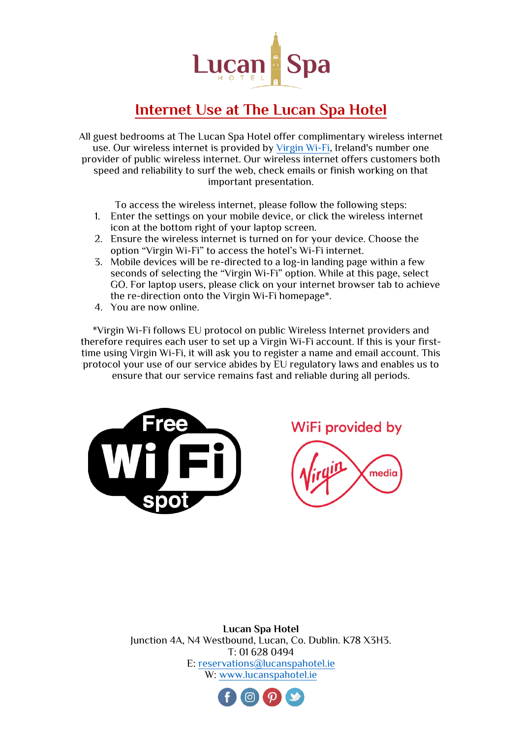

# **Internet Use at The Lucan Spa Hotel**

All guest bedrooms at The Lucan Spa Hotel offer complimentary wireless internet use. Our wireless internet is provided by [Virgin Wi-Fi,](https://www.virginmedia.ie/customer-support/support-by-products/broadband/wifi/) Ireland's number one provider of public wireless internet. Our wireless internet offers customers both speed and reliability to surf the web, check emails or finish working on that important presentation.

To access the wireless internet, please follow the following steps:

- 1. Enter the settings on your mobile device, or click the wireless internet icon at the bottom right of your laptop screen.
- 2. Ensure the wireless internet is turned on for your device. Choose the option "Virgin Wi-Fi" to access the hotel's Wi-Fi internet.
- 3. Mobile devices will be re-directed to a log-in landing page within a few seconds of selecting the "Virgin Wi-Fi" option. While at this page, select GO. For laptop users, please click on your internet browser tab to achieve the re-direction onto the Virgin Wi-Fi homepage\*.
- 4. You are now online.

\*Virgin Wi-Fi follows EU protocol on public Wireless Internet providers and therefore requires each user to set up a Virgin Wi-Fi account. If this is your firsttime using Virgin Wi-Fi, it will ask you to register a name and email account. This protocol your use of our service abides by EU regulatory laws and enables us to ensure that our service remains fast and reliable during all periods.



WiFi provided by

media

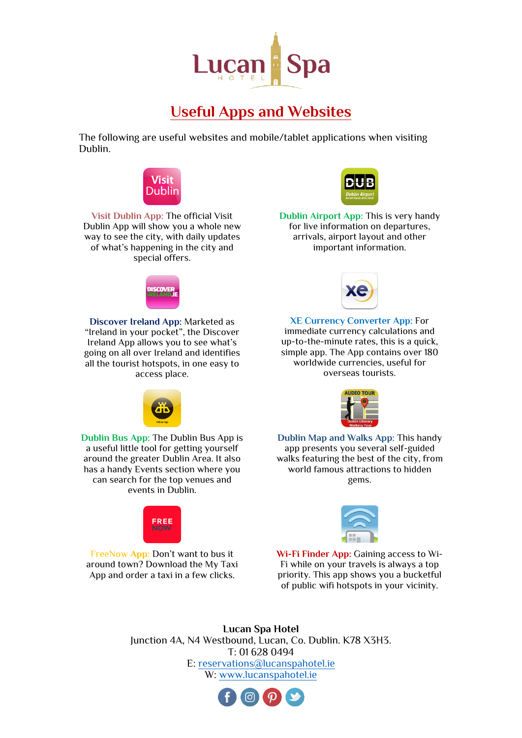

# **Useful Apps and Websites**

The following are useful websites and mobile/tablet applications when visiting Dublin.



**Visit Dublin App:** The official Visit Dublin App will show you a whole new way to see the city, with daily updates of what's happening in the city and special offers.



**Discover Ireland App:** Marketed as "Ireland in your pocket", the Discover Ireland App allows you to see what's going on all over Ireland and identifies all the tourist hotspots, in one easy to access place.



**Dublin Airport App:** This is very handy for live information on departures, arrivals, airport layout and other important information.



**XE Currency Converter App:** For immediate currency calculations and up-to-the-minute rates, this is a quick, simple app. The App contains over 180 worldwide currencies, useful for overseas tourists.



**Dublin Map and Walks App:** This handy app presents you several self-guided walks featuring the best of the city, from world famous attractions to hidden gems.



**Dublin Bus App:** The Dublin Bus App is a useful little tool for getting yourself around the greater Dublin Area. It also has a handy Events section where you can search for the top venues and events in Dublin.

FreeNow **App:** Don't want to bus it around town? Download the My Taxi App and order a taxi in a few clicks.



**Wi-Fi Finder App:** Gaining access to Wi-Fi while on your travels is always a top priority. This app shows you a bucketful of public wifi hotspots in your vicinity.

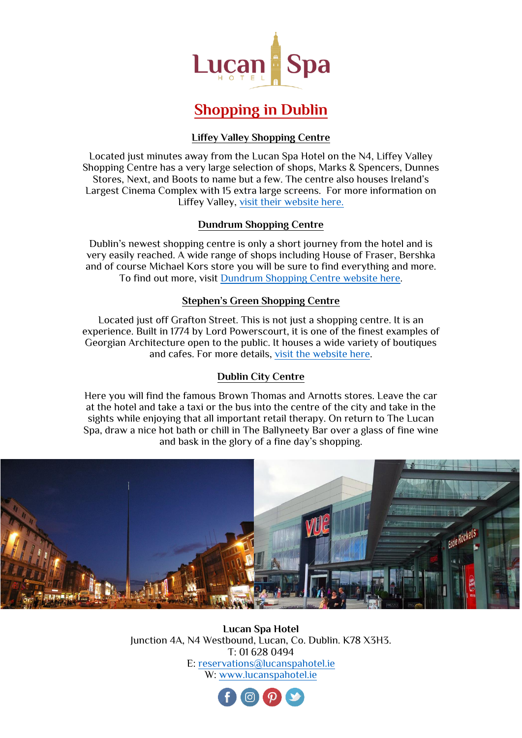

# **Shopping in Dublin**

### **Liffey Valley Shopping Centre**

Located just minutes away from the Lucan Spa Hotel on the N4, Liffey Valley Shopping Centre has a very large selection of shops, Marks & Spencers, Dunnes Stores, Next, and Boots to name but a few. The centre also houses Ireland's Largest Cinema Complex with 15 extra large screens. For more information on Liffey Valley, [visit their website here.](https://www.liffeyvalley.ie/)

### **Dundrum Shopping Centre**

Dublin's newest shopping centre is only a short journey from the hotel and is very easily reached. A wide range of shops including House of Fraser, Bershka and of course Michael Kors store you will be sure to find everything and more. To find out more, visit [Dundrum Shopping Centre website here.](https://www.dundrum.ie/)

### **Stephen's Green Shopping Centre**

Located just off Grafton Street. This is not just a shopping centre. It is an experience. Built in 1774 by Lord Powerscourt, it is one of the finest examples of Georgian Architecture open to the public. It houses a wide variety of boutiques and cafes. For more details, [visit the website here.](https://www.stephensgreen.com/)

## **Dublin City Centre**

Here you will find the famous Brown Thomas and Arnotts stores. Leave the car at the hotel and take a taxi or the bus into the centre of the city and take in the sights while enjoying that all important retail therapy. On return to The Lucan Spa, draw a nice hot bath or chill in The Ballyneety Bar over a glass of fine wine and bask in the glory of a fine day's shopping.



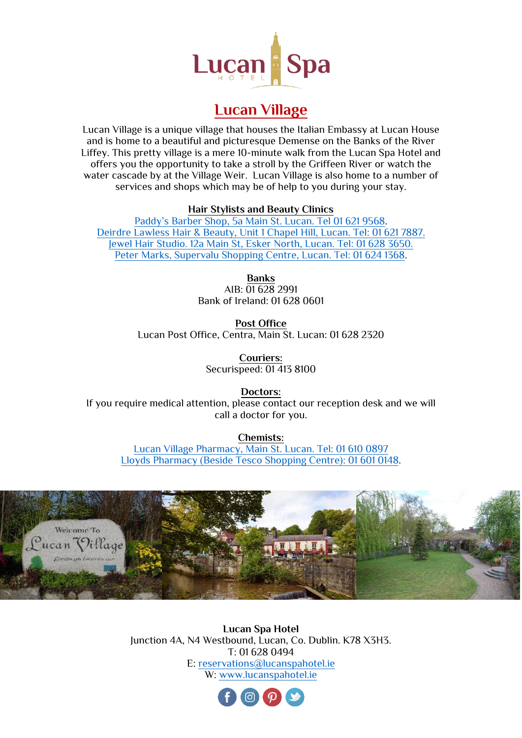

# **Lucan Village**

Lucan Village is a unique village that houses the Italian Embassy at Lucan House and is home to a beautiful and picturesque Demense on the Banks of the River Liffey. This pretty village is a mere 10-minute walk from the Lucan Spa Hotel and offers you the opportunity to take a stroll by the Griffeen River or watch the water cascade by at the Village Weir. Lucan Village is also home to a number of services and shops which may be of help to you during your stay.

### **Hair Stylists and Beauty Clinics**

[Paddy's Barber Shop, 5a Main St. Lucan](https://www.facebook.com/paddysbarbers/). Tel 01 621 9568. Deirdre Lawless Hair & [Beauty, Unit 1 Chapel Hill, Lucan. Tel: 01 621 7887.](http://deirdrelawless.com/) [Jewel Hair Studio. 12a Main St, Esker North, Lucan. Tel: 01 628 3650.](https://www.facebook.com/Jewel2HairDesign/) Peter Marks, Supervalu Shopping [Centre, Lucan. Tel: 01 624 1368.](https://petermark.ie/salon/lucan-shopping-centre/)

> **Banks** AIB: 01 628 2991 Bank of Ireland: 01 628 0601

**Post Office** Lucan Post Office, Centra, Main St. Lucan: 01 628 2320

> **Couriers:** Securispeed: 01 413 8100

**Doctors:** If you require medical attention, please contact our reception desk and we will call a doctor for you.

**Chemists:**

[Lucan Village Pharmacy, Main St. Lucan. Tel: 01 610](https://lucanpharmacy.com/) 0897 [Lloyds Pharmacy \(Beside Tesco Shopping Centre\): 01 601 0148.](https://lloydspharmacy.ie/)



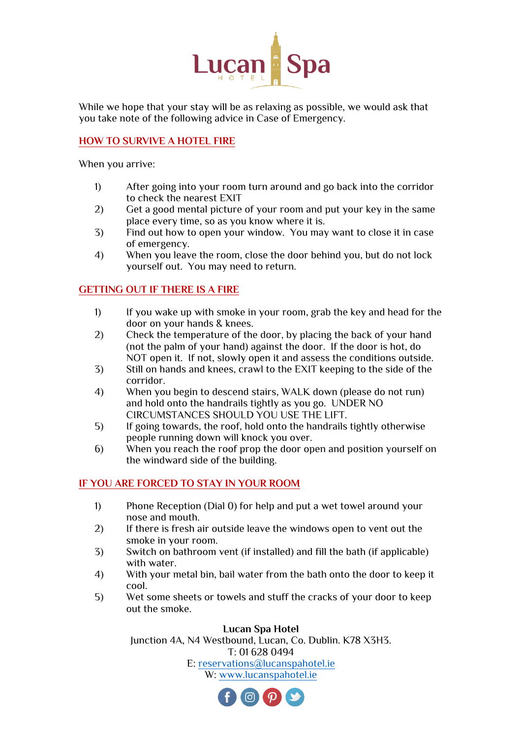

While we hope that your stay will be as relaxing as possible, we would ask that you take note of the following advice in Case of Emergency.

## **HOW TO SURVIVE A HOTEL FIRE**

When you arrive:

- 1) After going into your room turn around and go back into the corridor to check the nearest EXIT
- 2) Get a good mental picture of your room and put your key in the same place every time, so as you know where it is.
- 3) Find out how to open your window. You may want to close it in case of emergency.
- 4) When you leave the room, close the door behind you, but do not lock yourself out. You may need to return.

## **GETTING OUT IF THERE IS A FIRE**

- 1) If you wake up with smoke in your room, grab the key and head for the door on your hands & knees.
- 2) Check the temperature of the door, by placing the back of your hand (not the palm of your hand) against the door. If the door is hot, do NOT open it. If not, slowly open it and assess the conditions outside.
- 3) Still on hands and knees, crawl to the EXIT keeping to the side of the corridor.
- 4) When you begin to descend stairs, WALK down (please do not run) and hold onto the handrails tightly as you go. UNDER NO CIRCUMSTANCES SHOULD YOU USE THE LIFT.
- 5) If going towards, the roof, hold onto the handrails tightly otherwise people running down will knock you over.
- 6) When you reach the roof prop the door open and position yourself on the windward side of the building.

## **IF YOU ARE FORCED TO STAY IN YOUR ROOM**

- 1) Phone Reception (Dial 0) for help and put a wet towel around your nose and mouth.
- 2) If there is fresh air outside leave the windows open to vent out the smoke in your room.
- 3) Switch on bathroom vent (if installed) and fill the bath (if applicable) with water.
- 4) With your metal bin, bail water from the bath onto the door to keep it cool.
- 5) Wet some sheets or towels and stuff the cracks of your door to keep out the smoke.

### **Lucan Spa Hotel**